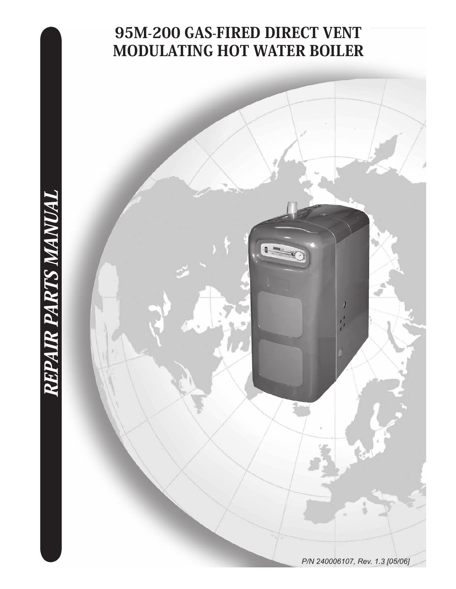# 95M-200 GAS-FIRED DIRECT VENT MODULATING HOT WATER BOILER

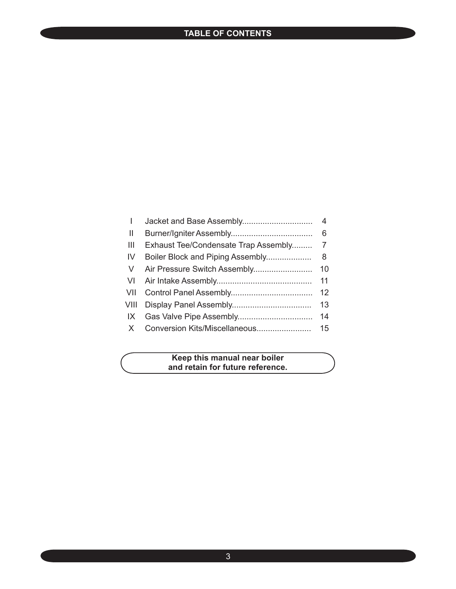### **TABLE OF CONTENTS**

| I             |                                      | 4  |
|---------------|--------------------------------------|----|
| $\mathbf{  }$ |                                      | 6  |
| Ш             | Exhaust Tee/Condensate Trap Assembly | 7  |
| -IV           | Boiler Block and Piping Assembly     | 8  |
| <sub>V</sub>  |                                      | 10 |
| VI            |                                      | 11 |
| VII           |                                      | 12 |
| VIII          |                                      | 13 |
| IX            |                                      | 14 |
| X.            |                                      | 15 |
|               |                                      |    |

#### **Keep this manual near boiler and retain for future reference.**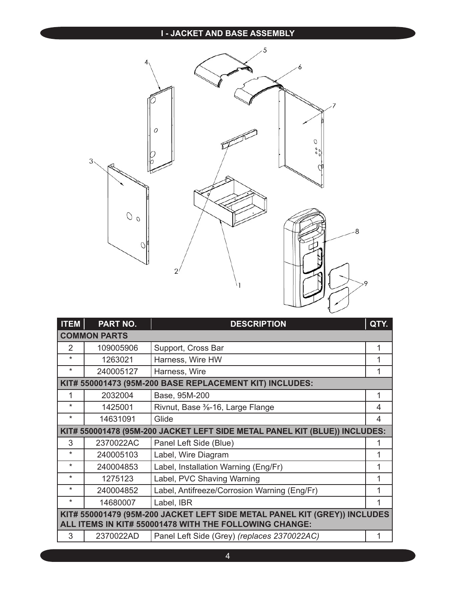#### **I - JACKET AND BASE ASSEMBLY**



| <b>ITEM</b>                                                               | PART NO.            | <b>DESCRIPTION</b>                                                         | QTY. |
|---------------------------------------------------------------------------|---------------------|----------------------------------------------------------------------------|------|
|                                                                           | <b>COMMON PARTS</b> |                                                                            |      |
| $\overline{2}$                                                            | 109005906           | Support, Cross Bar                                                         | 1    |
| $\star$                                                                   | 1263021             | Harness, Wire HW                                                           |      |
| *                                                                         | 240005127           | Harness, Wire                                                              |      |
|                                                                           |                     | KIT# 550001473 (95M-200 BASE REPLACEMENT KIT) INCLUDES:                    |      |
| 1                                                                         | 2032004             | Base, 95M-200                                                              | 1    |
| $\star$                                                                   | 1425001             | Rivnut, Base <sup>3</sup> / <sub>8</sub> -16, Large Flange                 | 4    |
| *                                                                         | 14631091            | Glide                                                                      | 4    |
|                                                                           |                     | KIT# 550001478 (95M-200 JACKET LEFT SIDE METAL PANEL KIT (BLUE)) INCLUDES: |      |
| 3                                                                         | 2370022AC           | Panel Left Side (Blue)                                                     |      |
| $\star$                                                                   | 240005103           | Label, Wire Diagram                                                        |      |
| $\star$                                                                   | 240004853           | Label, Installation Warning (Eng/Fr)                                       |      |
| $\star$                                                                   | 1275123             | Label, PVC Shaving Warning                                                 |      |
| $\star$                                                                   | 240004852           | Label, Antifreeze/Corrosion Warning (Eng/Fr)                               |      |
| *                                                                         | 14680007            | Label, IBR                                                                 |      |
| KIT# 550001479 (95M-200 JACKET LEFT SIDE METAL PANEL KIT (GREY)) INCLUDES |                     |                                                                            |      |
|                                                                           |                     | ALL ITEMS IN KIT# 550001478 WITH THE FOLLOWING CHANGE:                     |      |
| 3                                                                         | 2370022AD           | Panel Left Side (Grey) (replaces 2370022AC)                                | 1    |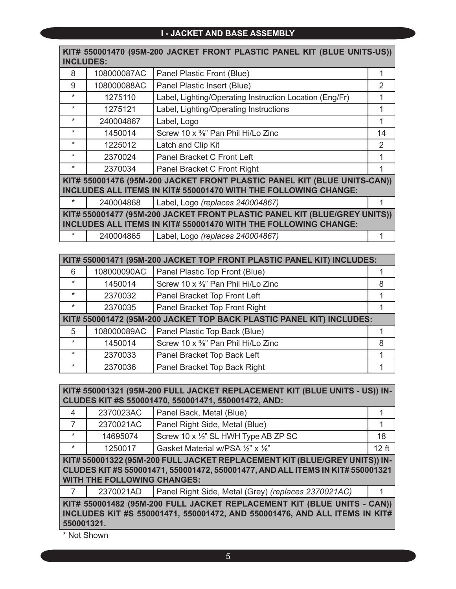#### **I - JACKET AND BASE ASSEMBLY**

| KIT# 550001470 (95M-200 JACKET FRONT PLASTIC PANEL KIT (BLUE UNITS-US))<br><b>INCLUDES:</b>                                                  |             |                                                         |    |
|----------------------------------------------------------------------------------------------------------------------------------------------|-------------|---------------------------------------------------------|----|
| 8                                                                                                                                            | 108000087AC | Panel Plastic Front (Blue)                              | 1  |
| 9                                                                                                                                            | 108000088AC | Panel Plastic Insert (Blue)                             | 2  |
| $\star$                                                                                                                                      | 1275110     | Label, Lighting/Operating Instruction Location (Eng/Fr) |    |
| $\star$                                                                                                                                      | 1275121     | Label, Lighting/Operating Instructions                  |    |
| $\star$                                                                                                                                      | 240004867   | Label, Logo                                             | 1  |
| $\star$                                                                                                                                      | 1450014     | Screw 10 x %" Pan Phil Hi/Lo Zinc                       | 14 |
| $\star$                                                                                                                                      | 1225012     | Latch and Clip Kit                                      | 2  |
| $\star$                                                                                                                                      | 2370024     | Panel Bracket C Front Left                              |    |
| $\star$                                                                                                                                      | 2370034     | Panel Bracket C Front Right                             |    |
| KIT# 550001476 (95M-200 JACKET FRONT PLASTIC PANEL KIT (BLUE UNITS-CAN))<br>INCLUDES ALL ITEMS IN KIT# 550001470 WITH THE FOLLOWING CHANGE:  |             |                                                         |    |
| $\ast$                                                                                                                                       | 240004868   | Label, Logo (replaces 240004867)                        |    |
| KIT# 550001477 (95M-200 JACKET FRONT PLASTIC PANEL KIT (BLUE/GREY UNITS))<br>INCLUDES ALL ITEMS IN KIT# 550001470 WITH THE FOLLOWING CHANGE: |             |                                                         |    |
| *                                                                                                                                            | 240004865   | Label, Logo (replaces 240004867)                        |    |

|         | KIT# 550001471 (95M-200 JACKET TOP FRONT PLASTIC PANEL KIT) INCLUDES: |                                                                      |   |  |
|---------|-----------------------------------------------------------------------|----------------------------------------------------------------------|---|--|
| 6       | 108000090AC                                                           | Panel Plastic Top Front (Blue)                                       |   |  |
| $\star$ | 1450014                                                               | Screw 10 x %" Pan Phil Hi/Lo Zinc                                    | 8 |  |
| $\star$ | 2370032                                                               | Panel Bracket Top Front Left                                         |   |  |
| $\star$ | 2370035                                                               | Panel Bracket Top Front Right                                        |   |  |
|         |                                                                       | KIT# 550001472 (95M-200 JACKET TOP BACK PLASTIC PANEL KIT) INCLUDES: |   |  |
| 5       | 108000089AC                                                           | Panel Plastic Top Back (Blue)                                        |   |  |
| $\star$ | 1450014                                                               | Screw 10 x %" Pan Phil Hi/Lo Zinc                                    | 8 |  |
| $\star$ | 2370033                                                               | Panel Bracket Top Back Left                                          |   |  |
| $\star$ | 2370036                                                               | Panel Bracket Top Back Right                                         |   |  |

| KIT# 550001321 (95M-200 FULL JACKET REPLACEMENT KIT (BLUE UNITS - US)) IN-<br>CLUDES KIT #S 550001470, 550001471, 550001472, AND:                                                                  |           |                                                     |         |
|----------------------------------------------------------------------------------------------------------------------------------------------------------------------------------------------------|-----------|-----------------------------------------------------|---------|
| $\overline{\mathcal{A}}$                                                                                                                                                                           | 2370023AC | Panel Back, Metal (Blue)                            |         |
| 7                                                                                                                                                                                                  | 2370021AC | Panel Right Side, Metal (Blue)                      |         |
| $\star$                                                                                                                                                                                            | 14695074  | Screw 10 x 1/2" SL HWH Type AB ZP SC                | 18      |
| $\star$                                                                                                                                                                                            | 1250017   | Gasket Material w/PSA 1/2" x 1/8"                   | $12$ ft |
| KIT# 550001322 (95M-200 FULL JACKET REPLACEMENT KIT (BLUE/GREY UNITS)) IN-<br>CLUDES KIT #S 550001471, 550001472, 550001477, AND ALL ITEMS IN KIT# 550001321<br><b>WITH THE FOLLOWING CHANGES:</b> |           |                                                     |         |
|                                                                                                                                                                                                    | 2370021AD | Panel Right Side, Metal (Grey) (replaces 2370021AC) |         |
| KIT# 550001482 (95M-200 FULL JACKET REPLACEMENT KIT (BLUE UNITS - CAN))<br>INCLUDES KIT #S 550001471, 550001472, AND 550001476, AND ALL ITEMS IN KIT#<br>550001321.                                |           |                                                     |         |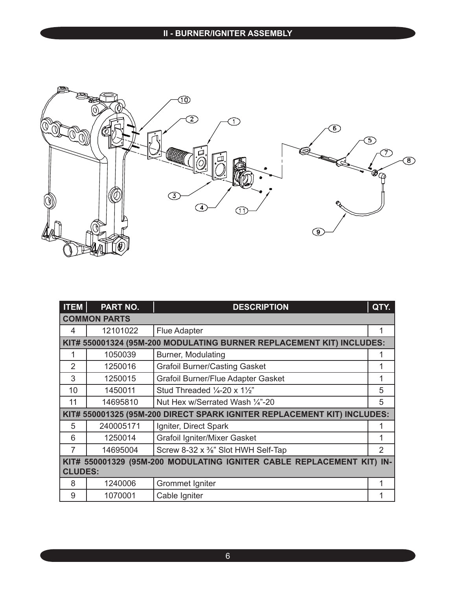

| <b>ITEM</b>                                                              | <b>PART NO.</b>     | <b>DESCRIPTION</b>                                                      | QTY. |
|--------------------------------------------------------------------------|---------------------|-------------------------------------------------------------------------|------|
|                                                                          | <b>COMMON PARTS</b> |                                                                         |      |
| 4                                                                        | 12101022            | <b>Flue Adapter</b>                                                     | 1    |
|                                                                          |                     | KIT# 550001324 (95M-200 MODULATING BURNER REPLACEMENT KIT) INCLUDES:    |      |
|                                                                          | 1050039             | Burner, Modulating                                                      |      |
| $\overline{2}$                                                           | 1250016             | <b>Grafoil Burner/Casting Gasket</b>                                    | 1    |
| 3                                                                        | 1250015             | Grafoil Burner/Flue Adapter Gasket                                      | 1    |
| 10                                                                       | 1450011             | Stud Threaded $\frac{1}{4}$ -20 x 1 $\frac{1}{2}$ "                     | 5    |
| 11                                                                       | 14695810            | Nut Hex w/Serrated Wash 1/4"-20                                         | 5    |
|                                                                          |                     | KIT# 550001325 (95M-200 DIRECT SPARK IGNITER REPLACEMENT KIT) INCLUDES: |      |
| 5                                                                        | 240005171           | Igniter, Direct Spark                                                   |      |
| 6                                                                        | 1250014             | Grafoil Igniter/Mixer Gasket                                            | 1    |
| 7                                                                        | 14695004            | Screw 8-32 x %" Slot HWH Self-Tap                                       | 2    |
| KIT# 550001329 (95M-200 MODULATING IGNITER CABLE REPLACEMENT KIT)<br>IN- |                     |                                                                         |      |
| <b>CLUDES:</b>                                                           |                     |                                                                         |      |
| 8                                                                        | 1240006             | Grommet Igniter                                                         | 1    |
| 9                                                                        | 1070001             | Cable Igniter                                                           | 1    |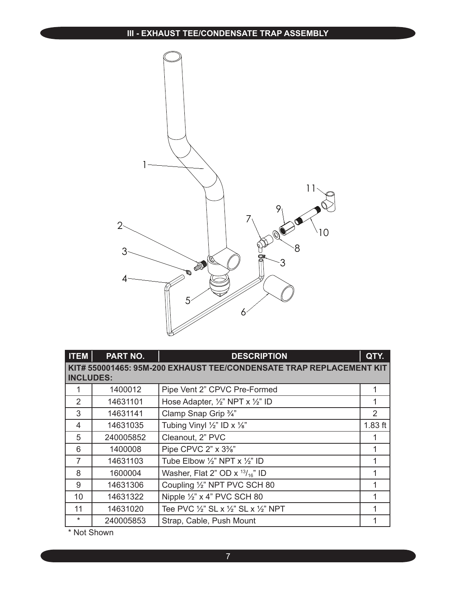

| <b>ITEM</b>      | <b>PART NO.</b> | <b>DESCRIPTION</b>                                                  | QTY.          |
|------------------|-----------------|---------------------------------------------------------------------|---------------|
| <b>INCLUDES:</b> |                 | KIT# 550001465: 95M-200 EXHAUST TEE/CONDENSATE TRAP REPLACEMENT KIT |               |
|                  | 1400012         | Pipe Vent 2" CPVC Pre-Formed                                        | 1             |
| 2                | 14631101        | Hose Adapter, 1/2" NPT x 1/2" ID                                    | 1             |
| 3                | 14631141        | Clamp Snap Grip 3/4"                                                | $\mathcal{P}$ |
| 4                | 14631035        | Tubing Vinyl $\frac{1}{2}$ " ID x $\frac{1}{8}$ "                   | $1.83$ ft     |
| 5                | 240005852       | Cleanout, 2" PVC                                                    |               |
| 6                | 1400008         | Pipe CPVC 2" x 3%"                                                  |               |
| $\overline{7}$   | 14631103        | Tube Elbow $\frac{1}{2}$ " NPT x $\frac{1}{2}$ " ID                 | 1             |
| 8                | 1600004         | Washer, Flat 2" OD $\times$ <sup>13</sup> / <sub>16</sub> " ID      |               |
| 9                | 14631306        | Coupling 1/2" NPT PVC SCH 80                                        |               |
| 10               | 14631322        | Nipple $\frac{1}{2}$ " x 4" PVC SCH 80                              |               |
| 11               | 14631020        | Tee PVC 1/2" SL x 1/2" SL x 1/2" NPT                                |               |
| $\ast$           | 240005853       | Strap, Cable, Push Mount                                            |               |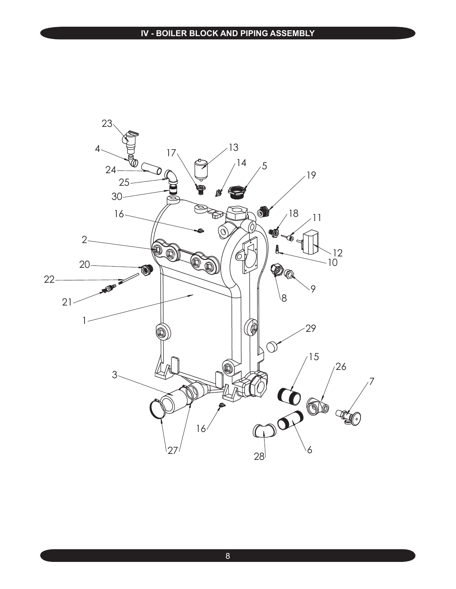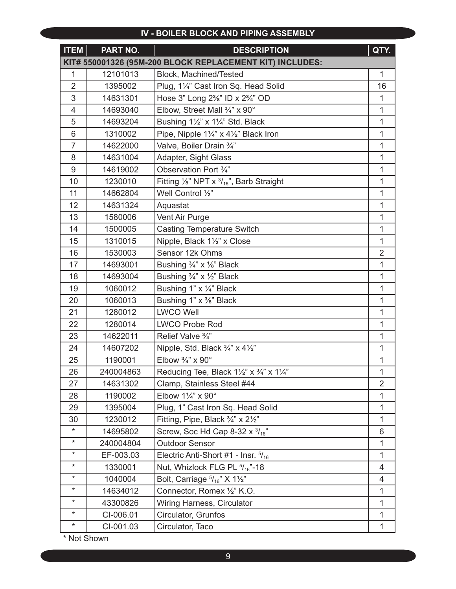#### **IV - BOILER BLOCK AND PIPING ASSEMBLY**

| <b>ITEM</b>     | PART NO.  | <b>DESCRIPTION</b>                                            | QTY.           |
|-----------------|-----------|---------------------------------------------------------------|----------------|
|                 |           | KIT# 550001326 (95M-200 BLOCK REPLACEMENT KIT) INCLUDES:      |                |
| 1               | 12101013  | Block, Machined/Tested                                        | $\mathbf{1}$   |
| $\overline{2}$  | 1395002   | Plug, 11/4" Cast Iron Sq. Head Solid                          | 16             |
| 3               | 14631301  | Hose 3" Long 2%" ID x 2%" OD                                  | $\mathbf{1}$   |
| $\overline{4}$  | 14693040  | Elbow, Street Mall 3/4" x 90°                                 | 1              |
| 5               | 14693204  | Bushing 11/2" x 11/4" Std. Black                              | $\mathbf{1}$   |
| $6\phantom{1}6$ | 1310002   | Pipe, Nipple 11/4" x 41/2" Black Iron                         | 1              |
| $\overline{7}$  | 14622000  | Valve, Boiler Drain 3/4"                                      | 1              |
| 8               | 14631004  | Adapter, Sight Glass                                          | $\mathbf{1}$   |
| 9               | 14619002  | Observation Port 3/4"                                         | 1              |
| 10              | 1230010   | Fitting $\frac{1}{8}$ " NPT x $\frac{3}{16}$ ", Barb Straight | 1              |
| 11              | 14662804  | Well Control 1/2"                                             | $\mathbf{1}$   |
| 12              | 14631324  | Aquastat                                                      | 1              |
| 13              | 1580006   | Vent Air Purge                                                | 1              |
| 14              | 1500005   | <b>Casting Temperature Switch</b>                             | $\mathbf{1}$   |
| 15              | 1310015   | Nipple, Black 11/2" x Close                                   | $\mathbf{1}$   |
| 16              | 1530003   | Sensor 12k Ohms                                               | $\overline{2}$ |
| 17              | 14693001  | Bushing 3/4" x 1/8" Black                                     | $\mathbf{1}$   |
| 18              | 14693004  | Bushing 3/4" x 1/2" Black                                     | $\mathbf{1}$   |
| 19              | 1060012   | Bushing 1" x 1/4" Black                                       | 1              |
| 20              | 1060013   | Bushing 1" x %" Black                                         | $\mathbf{1}$   |
| 21              | 1280012   | <b>LWCO Well</b>                                              | 1              |
| 22              | 1280014   | <b>LWCO Probe Rod</b>                                         | 1              |
| 23              | 14622011  | Relief Valve 3/4"                                             | $\mathbf{1}$   |
| 24              | 14607202  | Nipple, Std. Black 3/4" x 41/2"                               | 1              |
| 25              | 1190001   | Elbow $\frac{3}{4}$ " x 90°                                   | 1              |
| 26              | 240004863 | Reducing Tee, Black 11/2" x 3/4" x 11/4"                      | $\mathbf{1}$   |
| 27              | 14631302  | Clamp, Stainless Steel #44                                    | $\overline{2}$ |
| 28              | 1190002   | Elbow 11/4" x 90°                                             | 1              |
| 29              | 1395004   | Plug, 1" Cast Iron Sq. Head Solid                             | $\mathbf{1}$   |
| 30              | 1230012   | Fitting, Pipe, Black 3/4" x 21/2"                             | $\mathbf{1}$   |
| $\star$         | 14695802  | Screw, Soc Hd Cap 8-32 x $\frac{3}{16}$ "                     | 6              |
| $\star$         | 240004804 | <b>Outdoor Sensor</b>                                         | $\mathbf{1}$   |
| $^\star$        | EF-003.03 | Electric Anti-Short #1 - Insr. 5/16                           | $\mathbf{1}$   |
| $^\star$        | 1330001   | Nut, Whizlock FLG PL 5/16"-18                                 | 4              |
| $\star$         | 1040004   | Bolt, Carriage $5/16$ " X 1 $\frac{1}{2}$ "                   | 4              |
| $^\star$        | 14634012  | Connector, Romex 1/2" K.O.                                    | $\mathbf{1}$   |
| $^\star$        | 43300826  | Wiring Harness, Circulator                                    | 1              |
| $\star$         | CI-006.01 | Circulator, Grunfos                                           | $\mathbf{1}$   |
| $\ast$          | CI-001.03 | Circulator, Taco                                              | 1              |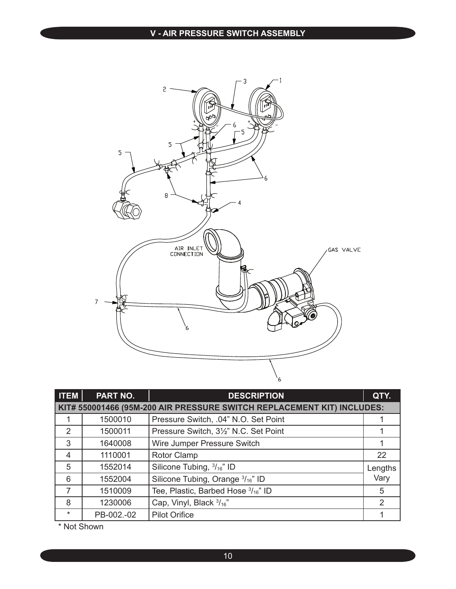

| $ $ ITEM $ $   | <b>PART NO.</b> | <b>DESCRIPTION</b>                                                     | QTY.          |
|----------------|-----------------|------------------------------------------------------------------------|---------------|
|                |                 | KIT# 550001466 (95M-200 AIR PRESSURE SWITCH REPLACEMENT KIT) INCLUDES: |               |
|                | 1500010         | Pressure Switch, .04" N.O. Set Point                                   |               |
| 2              | 1500011         | Pressure Switch, 3½" N.C. Set Point                                    |               |
| 3              | 1640008         | Wire Jumper Pressure Switch                                            |               |
| $\overline{4}$ | 1110001         | Rotor Clamp                                                            | 22            |
| 5              | 1552014         | Silicone Tubing, 3/16" ID                                              | Lengths       |
| 6              | 1552004         | Silicone Tubing, Orange 3/16" ID                                       | Vary          |
| 7              | 1510009         | Tee, Plastic, Barbed Hose 3/16" ID                                     | 5             |
| 8              | 1230006         | Cap, Vinyl, Black 3/16"                                                | $\mathcal{P}$ |
| $\star$        | PB-002.-02      | <b>Pilot Orifice</b>                                                   |               |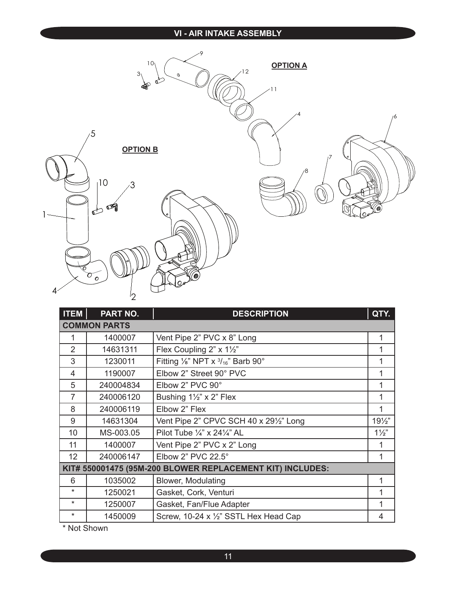#### **VI - AIR INTAKE ASSEMBLY**



| <b>ITEM</b>     | <b>PART NO.</b>     | <b>DESCRIPTION</b>                                        | QTY.            |  |
|-----------------|---------------------|-----------------------------------------------------------|-----------------|--|
|                 | <b>COMMON PARTS</b> |                                                           |                 |  |
| 1               | 1400007             | Vent Pipe 2" PVC x 8" Long                                | 1               |  |
| $\overline{2}$  | 14631311            | Flex Coupling 2" x 11/2"                                  | 1               |  |
| 3               | 1230011             | Fitting 1/8" NPT x 3/16" Barb 90°                         | 1               |  |
| 4               | 1190007             | Elbow 2" Street 90° PVC                                   | 1               |  |
| 5               | 240004834           | Elbow 2" PVC 90°                                          | 1               |  |
| $\overline{7}$  | 240006120           | Bushing $1\frac{1}{2}$ " x 2" Flex                        | 1               |  |
| 8               | 240006119           | Elbow 2" Flex                                             | 1               |  |
| 9               | 14631304            | Vent Pipe 2" CPVC SCH 40 x 291/2" Long                    | $19\frac{1}{2}$ |  |
| 10              | MS-003.05           | Pilot Tube $\frac{1}{4}$ " x 24 $\frac{1}{4}$ " AL        | $1\frac{1}{2}$  |  |
| 11              | 1400007             | Vent Pipe 2" PVC x 2" Long                                | 1               |  |
| 12 <sub>2</sub> | 240006147           | Elbow 2" PVC 22.5°                                        | 1               |  |
|                 |                     | KIT# 550001475 (95M-200 BLOWER REPLACEMENT KIT) INCLUDES: |                 |  |
| 6               | 1035002             | Blower, Modulating                                        | 1               |  |
| $\star$         | 1250021             | Gasket, Cork, Venturi                                     | 1               |  |
| $\star$         | 1250007             | Gasket, Fan/Flue Adapter                                  | 1               |  |
| $\star$         | 1450009             | Screw, 10-24 x 1/2" SSTL Hex Head Cap                     | 4               |  |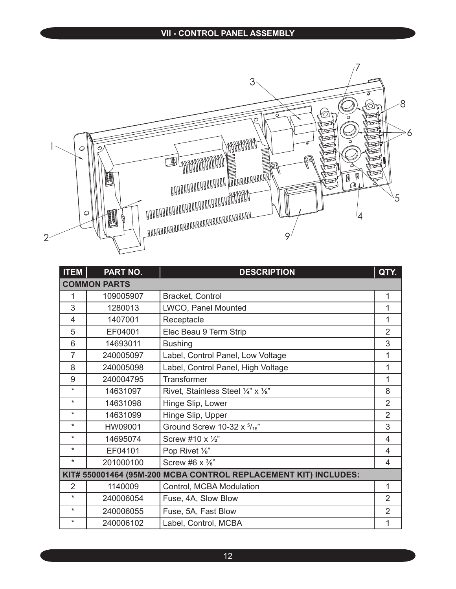#### **VII - CONTROL PANEL ASSEMBLY**



| <b>ITEM</b>                                                     | PART NO.            | <b>DESCRIPTION</b>                 | QTY.           |  |
|-----------------------------------------------------------------|---------------------|------------------------------------|----------------|--|
|                                                                 | <b>COMMON PARTS</b> |                                    |                |  |
| 1                                                               | 109005907           | <b>Bracket, Control</b>            | 1              |  |
| 3                                                               | 1280013             | LWCO, Panel Mounted                | 1              |  |
| $\overline{4}$                                                  | 1407001             | Receptacle                         | 1              |  |
| 5                                                               | EF04001             | Elec Beau 9 Term Strip             | $\overline{2}$ |  |
| 6                                                               | 14693011            | <b>Bushing</b>                     | 3              |  |
| $\overline{7}$                                                  | 240005097           | Label, Control Panel, Low Voltage  | 1              |  |
| 8                                                               | 240005098           | Label, Control Panel, High Voltage | 1              |  |
| 9                                                               | 240004795           | Transformer                        | 1              |  |
| $\star$                                                         | 14631097            | Rivet, Stainless Steel 1/4" x 1/8" | 8              |  |
| $\ast$                                                          | 14631098            | Hinge Slip, Lower                  | $\overline{2}$ |  |
| $\star$                                                         | 14631099            | Hinge Slip, Upper                  | $\overline{2}$ |  |
| $\star$                                                         | HW09001             | Ground Screw 10-32 x 5/16"         | 3              |  |
| $\star$                                                         | 14695074            | Screw #10 x 1/2"                   | $\overline{4}$ |  |
| $\star$                                                         | EF04101             | Pop Rivet 1/8"                     | $\overline{4}$ |  |
| $\star$                                                         | 201000100           | Screw #6 $\times$ $\frac{3}{8}$ "  | 4              |  |
| KIT# 550001464 (95M-200 MCBA CONTROL REPLACEMENT KIT) INCLUDES: |                     |                                    |                |  |
| $\overline{2}$                                                  | 1140009             | Control, MCBA Modulation           | 1              |  |
| $\star$                                                         | 240006054           | Fuse, 4A, Slow Blow                | $\overline{2}$ |  |
| $\star$                                                         | 240006055           | Fuse, 5A, Fast Blow                | $\overline{2}$ |  |
| $\star$                                                         | 240006102           | Label, Control, MCBA               | 1              |  |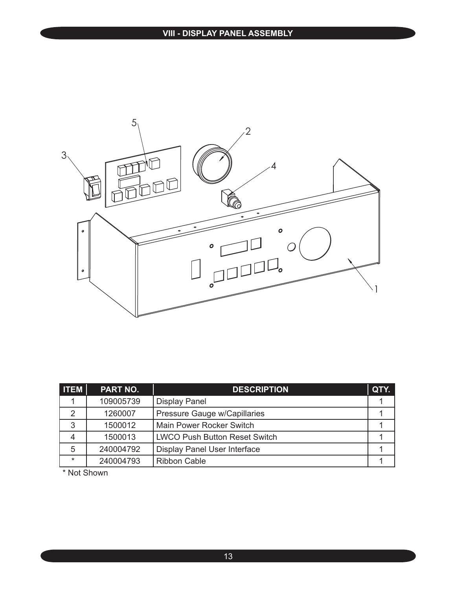

| <b>ITEM</b> | PART NO.  | <b>DESCRIPTION</b>                   | QTY. |
|-------------|-----------|--------------------------------------|------|
|             | 109005739 | <b>Display Panel</b>                 |      |
| 2           | 1260007   | Pressure Gauge w/Capillaries         |      |
| 3           | 1500012   | Main Power Rocker Switch             |      |
| 4           | 1500013   | <b>LWCO Push Button Reset Switch</b> |      |
| 5           | 240004792 | Display Panel User Interface         |      |
| $\star$     | 240004793 | <b>Ribbon Cable</b>                  |      |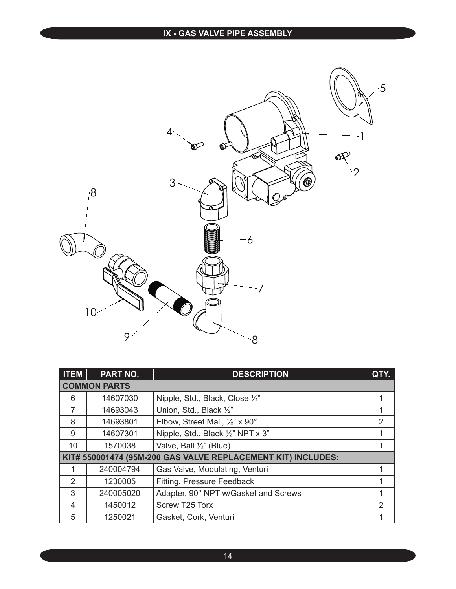## **IX - GAS VALVE PIPE ASSEMBLY**



| <b>ITEM</b>                                                  | PART NO.  | <b>DESCRIPTION</b>                   | QTY.           |  |
|--------------------------------------------------------------|-----------|--------------------------------------|----------------|--|
| <b>COMMON PARTS</b>                                          |           |                                      |                |  |
| 6                                                            | 14607030  | Nipple, Std., Black, Close 1/2"      | 1              |  |
|                                                              | 14693043  | Union, Std., Black 1/2"              |                |  |
| 8                                                            | 14693801  | Elbow, Street Mall, 1/2" x 90°       | $\overline{2}$ |  |
| 9                                                            | 14607301  | Nipple, Std., Black 1/2" NPT x 3"    | 1              |  |
| 10                                                           | 1570038   | Valve, Ball 1/2" (Blue)              |                |  |
| KIT# 550001474 (95M-200 GAS VALVE REPLACEMENT KIT) INCLUDES: |           |                                      |                |  |
|                                                              | 240004794 | Gas Valve, Modulating, Venturi       | 1              |  |
| $\mathcal{P}$                                                | 1230005   | Fitting, Pressure Feedback           | 1              |  |
| 3                                                            | 240005020 | Adapter, 90° NPT w/Gasket and Screws | 1              |  |
| $\overline{4}$                                               | 1450012   | Screw T25 Torx                       | $\mathcal{P}$  |  |
| 5                                                            | 1250021   | Gasket, Cork, Venturi                |                |  |